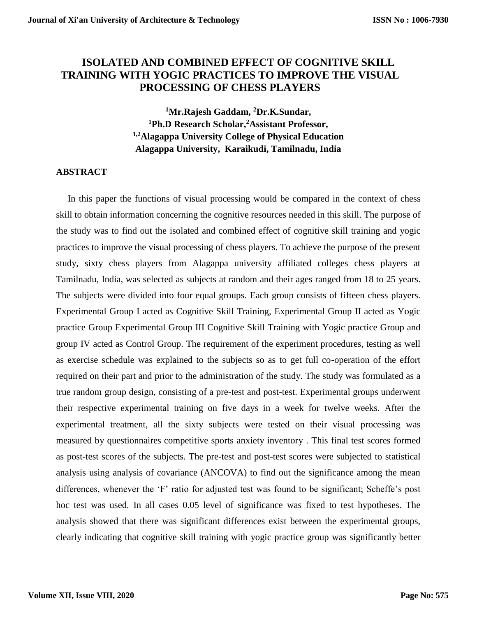# **ISOLATED AND COMBINED EFFECT OF COGNITIVE SKILL TRAINING WITH YOGIC PRACTICES TO IMPROVE THE VISUAL PROCESSING OF CHESS PLAYERS**

**<sup>1</sup>Mr.Rajesh Gaddam, <sup>2</sup>Dr.K.Sundar, <sup>1</sup>Ph.D Research Scholar,<sup>2</sup>Assistant Professor, 1,2Alagappa University College of Physical Education Alagappa University, Karaikudi, Tamilnadu, India**

## **ABSTRACT**

In this paper the functions of visual processing would be compared in the context of chess skill to obtain information concerning the cognitive resources needed in this skill. The purpose of the study was to find out the isolated and combined effect of cognitive skill training and yogic practices to improve the visual processing of chess players. To achieve the purpose of the present study, sixty chess players from Alagappa university affiliated colleges chess players at Tamilnadu, India, was selected as subjects at random and their ages ranged from 18 to 25 years. The subjects were divided into four equal groups. Each group consists of fifteen chess players. Experimental Group I acted as Cognitive Skill Training, Experimental Group II acted as Yogic practice Group Experimental Group III Cognitive Skill Training with Yogic practice Group and group IV acted as Control Group. The requirement of the experiment procedures, testing as well as exercise schedule was explained to the subjects so as to get full co-operation of the effort required on their part and prior to the administration of the study. The study was formulated as a true random group design, consisting of a pre-test and post-test. Experimental groups underwent their respective experimental training on five days in a week for twelve weeks. After the experimental treatment, all the sixty subjects were tested on their visual processing was measured by questionnaires competitive sports anxiety inventory . This final test scores formed as post-test scores of the subjects. The pre-test and post-test scores were subjected to statistical analysis using analysis of covariance (ANCOVA) to find out the significance among the mean differences, whenever the 'F' ratio for adjusted test was found to be significant; Scheffe's post hoc test was used. In all cases 0.05 level of significance was fixed to test hypotheses. The analysis showed that there was significant differences exist between the experimental groups, clearly indicating that cognitive skill training with yogic practice group was significantly better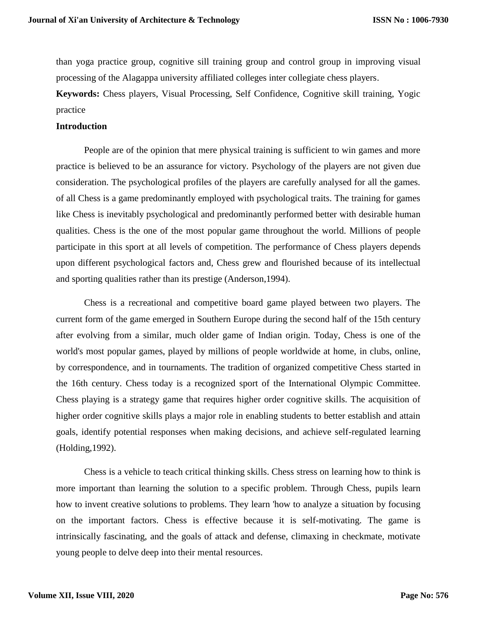than yoga practice group, cognitive sill training group and control group in improving visual processing of the Alagappa university affiliated colleges inter collegiate chess players.

**Keywords:** Chess players, Visual Processing, Self Confidence, Cognitive skill training, Yogic practice

### **Introduction**

People are of the opinion that mere physical training is sufficient to win games and more practice is believed to be an assurance for victory. Psychology of the players are not given due consideration. The psychological profiles of the players are carefully analysed for all the games. of all Chess is a game predominantly employed with psychological traits. The training for games like Chess is inevitably psychological and predominantly performed better with desirable human qualities. Chess is the one of the most popular game throughout the world. Millions of people participate in this sport at all levels of competition. The performance of Chess players depends upon different psychological factors and, Chess grew and flourished because of its intellectual and sporting qualities rather than its prestige (Anderson,1994).

Chess is a recreational and competitive board game played between two players. The current form of the game emerged in Southern Europe during the second half of the 15th century after evolving from a similar, much older game of Indian origin. Today, Chess is one of the world's most popular games, played by millions of people worldwide at home, in clubs, online, by correspondence, and in tournaments. The tradition of organized competitive Chess started in the 16th century. Chess today is a recognized sport of the International Olympic Committee. Chess playing is a strategy game that requires higher order cognitive skills. The acquisition of higher order cognitive skills plays a major role in enabling students to better establish and attain goals, identify potential responses when making decisions, and achieve self-regulated learning (Holding,1992).

Chess is a vehicle to teach critical thinking skills. Chess stress on learning how to think is more important than learning the solution to a specific problem. Through Chess, pupils learn how to invent creative solutions to problems. They learn 'how to analyze a situation by focusing on the important factors. Chess is effective because it is self-motivating. The game is intrinsically fascinating, and the goals of attack and defense, climaxing in checkmate, motivate young people to delve deep into their mental resources.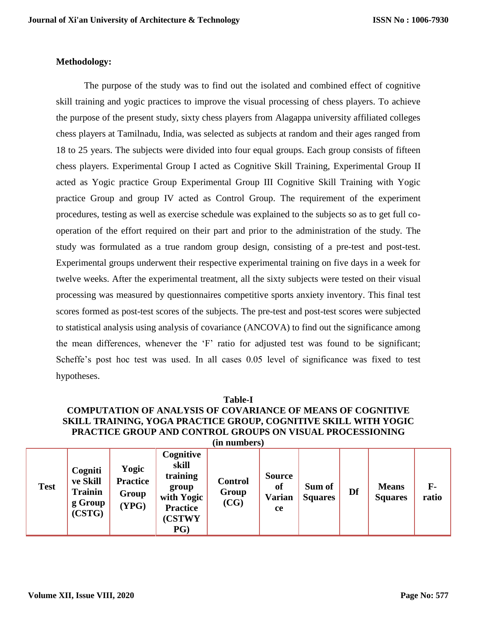### **Methodology:**

The purpose of the study was to find out the isolated and combined effect of cognitive skill training and yogic practices to improve the visual processing of chess players. To achieve the purpose of the present study, sixty chess players from Alagappa university affiliated colleges chess players at Tamilnadu, India, was selected as subjects at random and their ages ranged from 18 to 25 years. The subjects were divided into four equal groups. Each group consists of fifteen chess players. Experimental Group I acted as Cognitive Skill Training, Experimental Group II acted as Yogic practice Group Experimental Group III Cognitive Skill Training with Yogic practice Group and group IV acted as Control Group. The requirement of the experiment procedures, testing as well as exercise schedule was explained to the subjects so as to get full cooperation of the effort required on their part and prior to the administration of the study. The study was formulated as a true random group design, consisting of a pre-test and post-test. Experimental groups underwent their respective experimental training on five days in a week for twelve weeks. After the experimental treatment, all the sixty subjects were tested on their visual processing was measured by questionnaires competitive sports anxiety inventory. This final test scores formed as post-test scores of the subjects. The pre-test and post-test scores were subjected to statistical analysis using analysis of covariance (ANCOVA) to find out the significance among the mean differences, whenever the 'F' ratio for adjusted test was found to be significant; Scheffe's post hoc test was used. In all cases 0.05 level of significance was fixed to test hypotheses.

## **Table-I COMPUTATION OF ANALYSIS OF COVARIANCE OF MEANS OF COGNITIVE SKILL TRAINING, YOGA PRACTICE GROUP, COGNITIVE SKILL WITH YOGIC PRACTICE GROUP AND CONTROL GROUPS ON VISUAL PROCESSIONING**

| (in numbers) |
|--------------|
|              |

| <b>Test</b> | Cogniti<br>ve Skill<br><b>Trainin</b><br>g Group<br>(CSTG) | Yogic<br><b>Practice</b><br>Group<br>(YPG) | Cognitive<br>skill<br>training<br>group<br>with Yogic<br><b>Practice</b><br>(CSTWY<br>PG) | <b>Control</b><br>Group<br>(CG) | <b>Source</b><br>of<br><b>Varian</b><br><b>ce</b> | Sum of<br><b>Squares</b> | Df | <b>Means</b><br><b>Squares</b> | ${\bf F}$ -<br>ratio |
|-------------|------------------------------------------------------------|--------------------------------------------|-------------------------------------------------------------------------------------------|---------------------------------|---------------------------------------------------|--------------------------|----|--------------------------------|----------------------|
|-------------|------------------------------------------------------------|--------------------------------------------|-------------------------------------------------------------------------------------------|---------------------------------|---------------------------------------------------|--------------------------|----|--------------------------------|----------------------|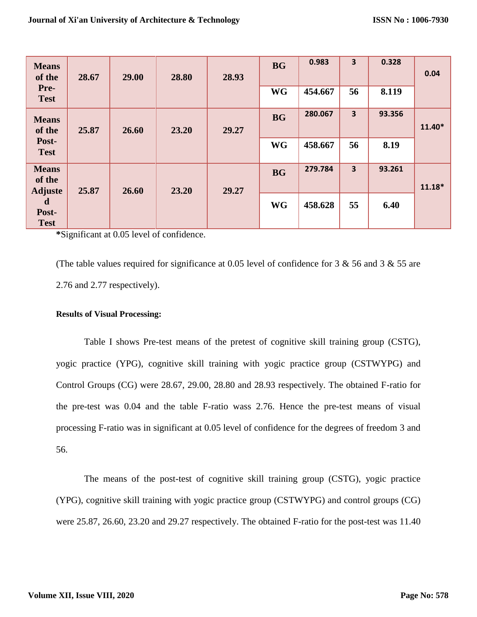| <b>Means</b><br>of the<br>Pre-<br><b>Test</b>                         | 28.67 | 29.00 | 28.80 | 28.93 | <b>BG</b><br><b>WG</b> | 0.983<br>454.667   | 3<br>56                       | 0.328<br>8.119 | 0.04     |
|-----------------------------------------------------------------------|-------|-------|-------|-------|------------------------|--------------------|-------------------------------|----------------|----------|
| <b>Means</b><br>of the<br>Post-<br><b>Test</b>                        | 25.87 | 26.60 | 23.20 | 29.27 | <b>BG</b><br><b>WG</b> | 280.067<br>458.667 | $\overline{\mathbf{3}}$<br>56 | 93.356<br>8.19 | 11.40*   |
| <b>Means</b><br>of the<br><b>Adjuste</b><br>d<br>Post-<br><b>Test</b> | 25.87 | 26.60 | 23.20 | 29.27 | <b>BG</b><br><b>WG</b> | 279.784<br>458.628 | $\overline{\mathbf{3}}$<br>55 | 93.261<br>6.40 | $11.18*$ |

**\***Significant at 0.05 level of confidence.

(The table values required for significance at 0.05 level of confidence for  $3 \& 56$  and  $3 \& 55$  are 2.76 and 2.77 respectively).

#### **Results of Visual Processing:**

Table I shows Pre-test means of the pretest of cognitive skill training group (CSTG), yogic practice (YPG), cognitive skill training with yogic practice group (CSTWYPG) and Control Groups (CG) were 28.67, 29.00, 28.80 and 28.93 respectively. The obtained F-ratio for the pre-test was 0.04 and the table F-ratio wass 2.76. Hence the pre-test means of visual processing F-ratio was in significant at 0.05 level of confidence for the degrees of freedom 3 and 56.

The means of the post-test of cognitive skill training group (CSTG), yogic practice (YPG), cognitive skill training with yogic practice group (CSTWYPG) and control groups (CG) were 25.87, 26.60, 23.20 and 29.27 respectively. The obtained F-ratio for the post-test was 11.40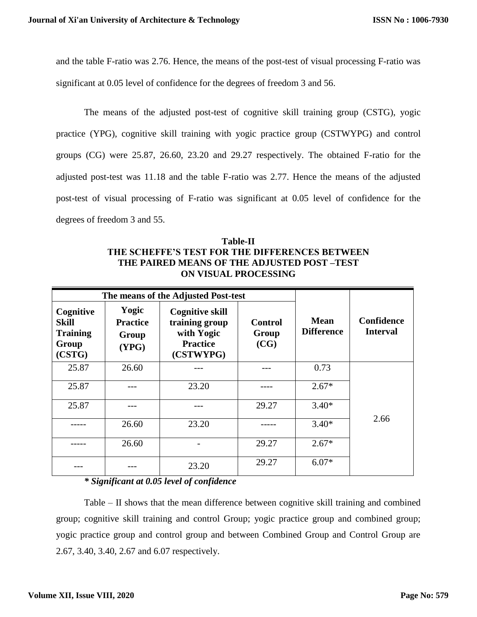and the table F-ratio was 2.76. Hence, the means of the post-test of visual processing F-ratio was significant at 0.05 level of confidence for the degrees of freedom 3 and 56.

The means of the adjusted post-test of cognitive skill training group (CSTG), yogic practice (YPG), cognitive skill training with yogic practice group (CSTWYPG) and control groups (CG) were 25.87, 26.60, 23.20 and 29.27 respectively. The obtained F-ratio for the adjusted post-test was 11.18 and the table F-ratio was 2.77. Hence the means of the adjusted post-test of visual processing of F-ratio was significant at 0.05 level of confidence for the degrees of freedom 3 and 55.

| <b>Table-II</b>                                |  |  |  |  |  |  |  |
|------------------------------------------------|--|--|--|--|--|--|--|
| THE SCHEFFE'S TEST FOR THE DIFFERENCES BETWEEN |  |  |  |  |  |  |  |
| THE PAIRED MEANS OF THE ADJUSTED POST –TEST    |  |  |  |  |  |  |  |
| ON VISUAL PROCESSING                           |  |  |  |  |  |  |  |

|                                                                 | The means of the Adjusted Post-test        |                                                                                        |                                 |                                  |                               |
|-----------------------------------------------------------------|--------------------------------------------|----------------------------------------------------------------------------------------|---------------------------------|----------------------------------|-------------------------------|
| Cognitive<br><b>Skill</b><br><b>Training</b><br>Group<br>(CSTG) | Yogic<br><b>Practice</b><br>Group<br>(YPG) | <b>Cognitive skill</b><br>training group<br>with Yogic<br><b>Practice</b><br>(CSTWYPG) | <b>Control</b><br>Group<br>(CG) | <b>Mean</b><br><b>Difference</b> | Confidence<br><b>Interval</b> |
| 25.87                                                           | 26.60                                      |                                                                                        |                                 | 0.73                             |                               |
| 25.87                                                           |                                            | 23.20                                                                                  |                                 | $2.67*$                          |                               |
| 25.87                                                           |                                            |                                                                                        | 29.27                           | $3.40*$                          |                               |
|                                                                 | 26.60                                      | 23.20                                                                                  |                                 | $3.40*$                          | 2.66                          |
|                                                                 | 26.60                                      |                                                                                        | 29.27                           | $2.67*$                          |                               |
|                                                                 |                                            | 23.20                                                                                  | 29.27                           | $6.07*$                          |                               |

## *\* Significant at 0.05 level of confidence*

Table – II shows that the mean difference between cognitive skill training and combined group; cognitive skill training and control Group; yogic practice group and combined group; yogic practice group and control group and between Combined Group and Control Group are 2.67, 3.40, 3.40, 2.67 and 6.07 respectively.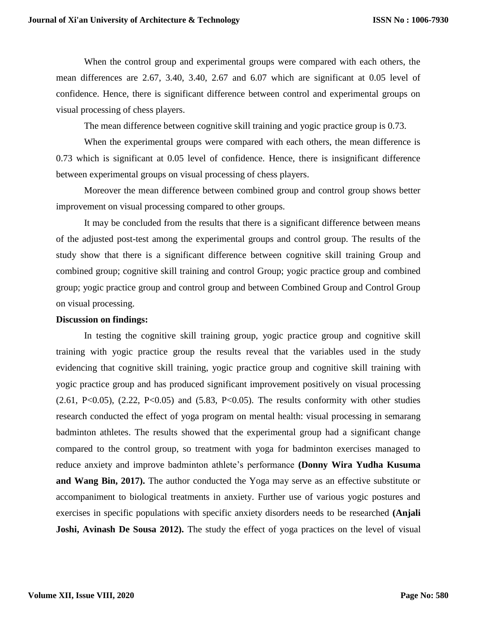When the control group and experimental groups were compared with each others, the mean differences are 2.67, 3.40, 3.40, 2.67 and 6.07 which are significant at 0.05 level of confidence. Hence, there is significant difference between control and experimental groups on visual processing of chess players.

The mean difference between cognitive skill training and yogic practice group is 0.73.

When the experimental groups were compared with each others, the mean difference is 0.73 which is significant at 0.05 level of confidence. Hence, there is insignificant difference between experimental groups on visual processing of chess players.

Moreover the mean difference between combined group and control group shows better improvement on visual processing compared to other groups.

It may be concluded from the results that there is a significant difference between means of the adjusted post-test among the experimental groups and control group. The results of the study show that there is a significant difference between cognitive skill training Group and combined group; cognitive skill training and control Group; yogic practice group and combined group; yogic practice group and control group and between Combined Group and Control Group on visual processing.

#### **Discussion on findings:**

In testing the cognitive skill training group, yogic practice group and cognitive skill training with yogic practice group the results reveal that the variables used in the study evidencing that cognitive skill training, yogic practice group and cognitive skill training with yogic practice group and has produced significant improvement positively on visual processing  $(2.61, P<0.05)$ ,  $(2.22, P<0.05)$  and  $(5.83, P<0.05)$ . The results conformity with other studies research conducted the effect of yoga program on mental health: visual processing in semarang badminton athletes. The results showed that the experimental group had a significant change compared to the control group, so treatment with yoga for badminton exercises managed to reduce anxiety and improve badminton athlete's performance **(Donny Wira Yudha Kusuma and Wang Bin, 2017).** The author conducted the Yoga may serve as an effective substitute or accompaniment to biological treatments in anxiety. Further use of various yogic postures and exercises in specific populations with specific anxiety disorders needs to be researched **(Anjali Joshi, Avinash De Sousa 2012).** The study the effect of yoga practices on the level of visual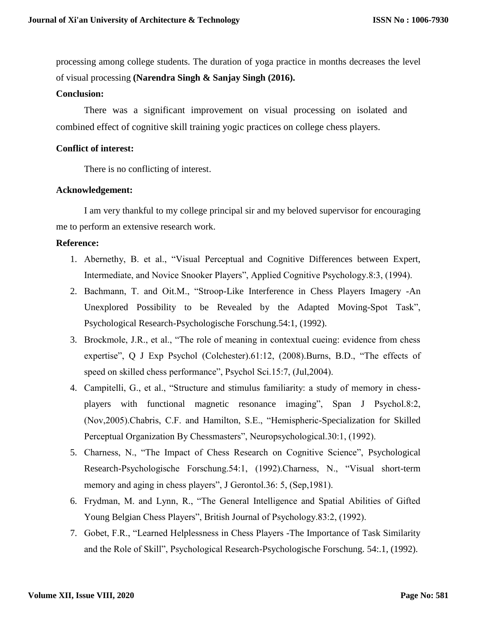processing among college students. The duration of yoga practice in months decreases the level of visual processing **(Narendra Singh & Sanjay Singh (2016).**

## **Conclusion:**

There was a significant improvement on visual processing on isolated and combined effect of cognitive skill training yogic practices on college chess players.

### **Conflict of interest:**

There is no conflicting of interest.

#### **Acknowledgement:**

I am very thankful to my college principal sir and my beloved supervisor for encouraging me to perform an extensive research work.

#### **Reference:**

- 1. Abernethy, B. et al., "Visual Perceptual and Cognitive Differences between Expert, Intermediate, and Novice Snooker Players", Applied Cognitive Psychology.8:3, (1994).
- 2. Bachmann, T. and Oit.M., "Stroop-Like Interference in Chess Players Imagery -An Unexplored Possibility to be Revealed by the Adapted Moving-Spot Task", Psychological Research-Psychologische Forschung.54:1, (1992).
- 3. Brockmole, J.R., et al., "The role of meaning in contextual cueing: evidence from chess expertise", Q J Exp Psychol (Colchester).61:12, (2008).Burns, B.D., "The effects of speed on skilled chess performance", Psychol Sci.15:7, (Jul,2004).
- 4. Campitelli, G., et al., "Structure and stimulus familiarity: a study of memory in chessplayers with functional magnetic resonance imaging", Span J Psychol.8:2, (Nov,2005).Chabris, C.F. and Hamilton, S.E., "Hemispheric-Specialization for Skilled Perceptual Organization By Chessmasters", Neuropsychological.30:1, (1992).
- 5. Charness, N., "The Impact of Chess Research on Cognitive Science", Psychological Research-Psychologische Forschung.54:1, (1992).Charness, N., "Visual short-term memory and aging in chess players", J Gerontol.36: 5, (Sep,1981).
- 6. Frydman, M. and Lynn, R., "The General Intelligence and Spatial Abilities of Gifted Young Belgian Chess Players", British Journal of Psychology.83:2, (1992).
- 7. Gobet, F.R., "Learned Helplessness in Chess Players -The Importance of Task Similarity and the Role of Skill", Psychological Research-Psychologische Forschung. 54:.1, (1992).